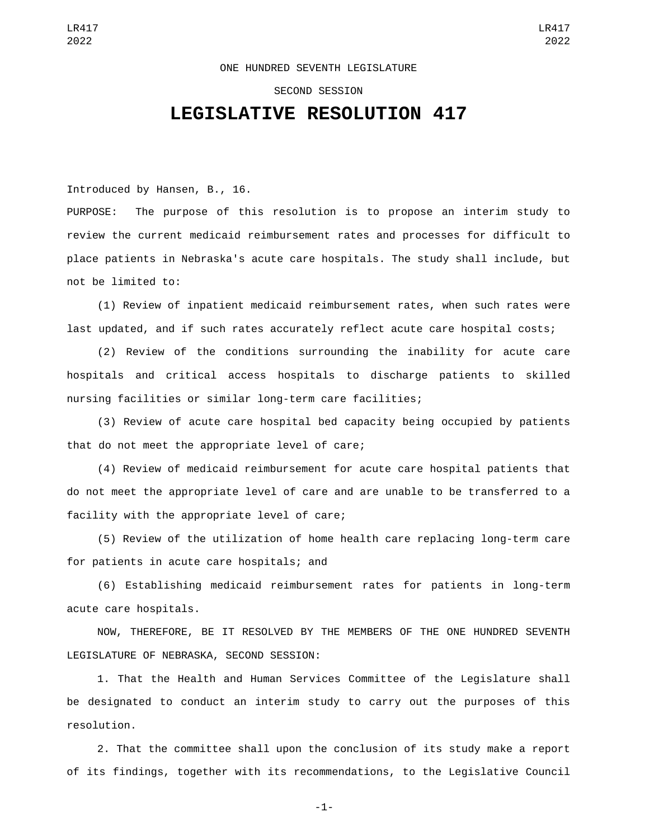## ONE HUNDRED SEVENTH LEGISLATURE

## SECOND SESSION

## **LEGISLATIVE RESOLUTION 417**

Introduced by Hansen, B., 16.

PURPOSE: The purpose of this resolution is to propose an interim study to review the current medicaid reimbursement rates and processes for difficult to place patients in Nebraska's acute care hospitals. The study shall include, but not be limited to:

(1) Review of inpatient medicaid reimbursement rates, when such rates were last updated, and if such rates accurately reflect acute care hospital costs;

(2) Review of the conditions surrounding the inability for acute care hospitals and critical access hospitals to discharge patients to skilled nursing facilities or similar long-term care facilities;

(3) Review of acute care hospital bed capacity being occupied by patients that do not meet the appropriate level of care;

(4) Review of medicaid reimbursement for acute care hospital patients that do not meet the appropriate level of care and are unable to be transferred to a facility with the appropriate level of care;

(5) Review of the utilization of home health care replacing long-term care for patients in acute care hospitals; and

(6) Establishing medicaid reimbursement rates for patients in long-term acute care hospitals.

NOW, THEREFORE, BE IT RESOLVED BY THE MEMBERS OF THE ONE HUNDRED SEVENTH LEGISLATURE OF NEBRASKA, SECOND SESSION:

1. That the Health and Human Services Committee of the Legislature shall be designated to conduct an interim study to carry out the purposes of this resolution.

2. That the committee shall upon the conclusion of its study make a report of its findings, together with its recommendations, to the Legislative Council

-1-